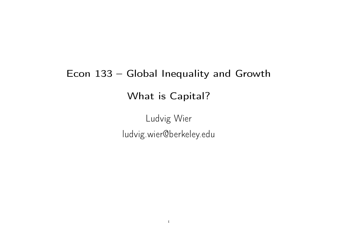# Econ 133 – Global Inequality and Growth What is Capital?

Ludvig Wier ludvig.wier@berkeley.edu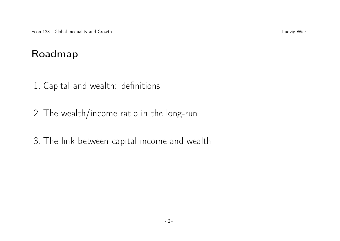#### Roadmap

- 1. Capital and wealth: definitions
- 2. The wealth/income ratio in the long-run
- 3. The link between capital income and wealth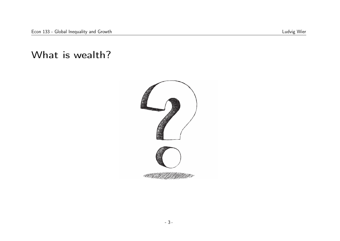#### What is wealth?

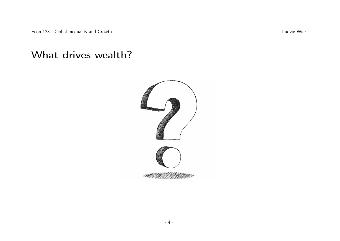#### What drives wealth?

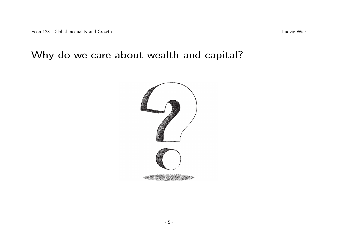#### Why do we care about wealth and capital?

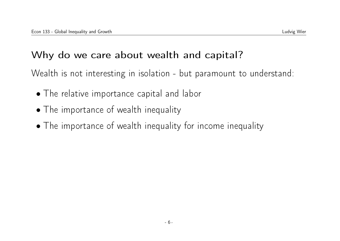### Why do we care about wealth and capital?

Wealth is not interesting in isolation - but paramount to understand:

- The relative importance capital and labor
- The importance of wealth inequality
- The importance of wealth inequality for income inequality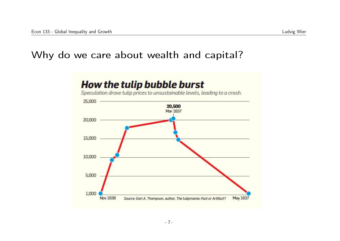#### Why do we care about wealth and capital?

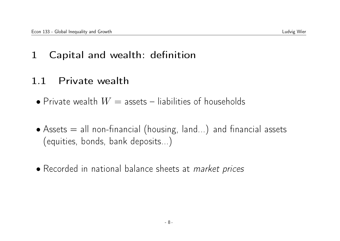1 Capital and wealth: definition

### 1.1 Private wealth

- Private wealth  $W =$  assets liabilities of households
- Assets = all non-financial (housing, land...) and financial assets (equities, bonds, bank deposits...)
- Recorded in national balance sheets at market prices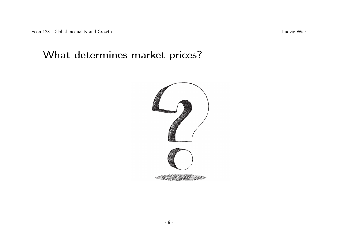#### What determines market prices?

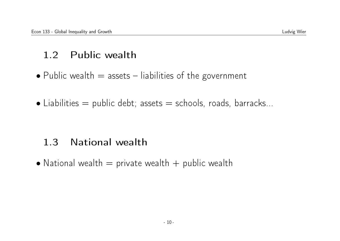### 1.2 Public wealth

- Public wealth  $=$  assets  $-$  liabilities of the government
- $\bullet$  Liabilities = public debt; assets = schools, roads, barracks...

### 1.3 National wealth

• National wealth  $=$  private wealth  $+$  public wealth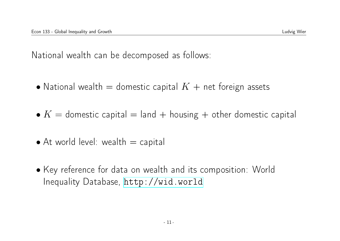National wealth can be decomposed as follows:

- National wealth = domestic capital  $K +$  net foreign assets
- $K =$  domestic capital  $=$  land  $+$  housing  $+$  other domestic capital
- $\bullet$  At world level: wealth  $=$  capital
- Key reference for data on wealth and its composition: World Inequality Database, <http://wid.world>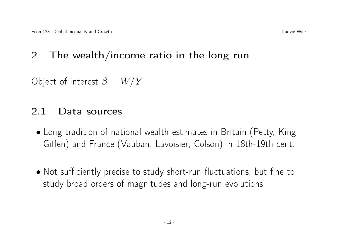### 2 The wealth/income ratio in the long run

Object of interest  $\beta = W/Y$ 

#### 2.1 Data sources

- Long tradition of national wealth estimates in Britain (Petty, King, Giffen) and France (Vauban, Lavoisier, Colson) in 18th-19th cent.
- Not sufficiently precise to study short-run fluctuations; but fine to study broad orders of magnitudes and long-run evolutions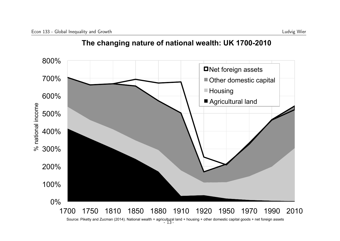



Source: Piketty and Zucman (2014). National wealth = agricultural land + housing + other domestic capital goods + net foreign assets <br>- 13 -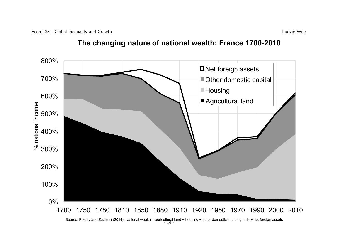

**The changing nature of national wealth: France 1700-2010** 

Source: Piketty and Zucman (2014). National wealth = agricultural land + housing + other domestic capital goods + net foreign assets - 14 -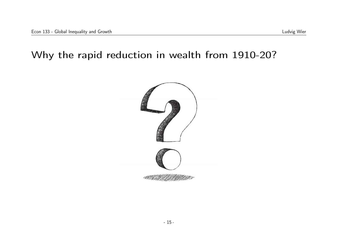#### Why the rapid reduction in wealth from 1910-20?

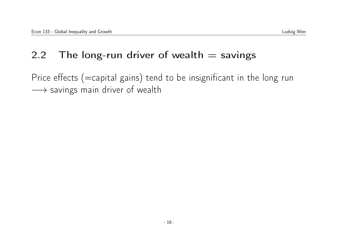### 2.2 The long-run driver of wealth  $=$  savings

Price effects (=capital gains) tend to be insignificant in the long run → savings main driver of wealth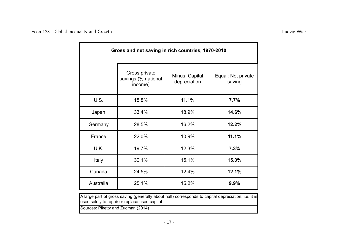| Gross and net saving in rich countries, 1970-2010                                                   |                                                 |                                |                              |  |
|-----------------------------------------------------------------------------------------------------|-------------------------------------------------|--------------------------------|------------------------------|--|
|                                                                                                     | Gross private<br>savings (% national<br>income) | Minus: Capital<br>depreciation | Equal: Net private<br>saving |  |
| U.S.                                                                                                | 18.8%                                           | 11.1%                          | 7.7%                         |  |
| Japan                                                                                               | 33.4%                                           | 18.9%                          | 14.6%                        |  |
| Germany                                                                                             | 28.5%                                           | 16.2%                          | 12.2%                        |  |
| France                                                                                              | 22.0%                                           | 10.9%                          | 11.1%                        |  |
| U.K.                                                                                                | 19.7%                                           | 12.3%                          | 7.3%                         |  |
| Italy                                                                                               | 30.1%                                           | 15.1%                          | 15.0%                        |  |
| Canada                                                                                              | 24.5%                                           | 12.4%                          | 12.1%                        |  |
| Australia                                                                                           | 25.1%                                           | 15.2%                          | 9.9%                         |  |
| A large part of gross saving (generally about half) corresponds to capital depreciation; i.e. it is |                                                 |                                |                              |  |

used solely to repair or replace used capital.

Sources: Piketty and Zucman (2014)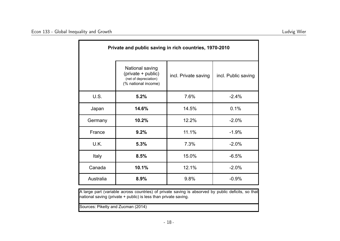| Private and public saving in rich countries, 1970-2010 |                                                                                       |                      |                     |  |
|--------------------------------------------------------|---------------------------------------------------------------------------------------|----------------------|---------------------|--|
|                                                        | National saving<br>(private + public)<br>(net of depreciation)<br>(% national income) | incl. Private saving | incl. Public saving |  |
| U.S.                                                   | 5.2%                                                                                  | 7.6%                 | $-2.4%$             |  |
| Japan                                                  | 14.6%                                                                                 | 14.5%                | 0.1%                |  |
| Germany                                                | 10.2%                                                                                 | 12.2%                | $-2.0%$             |  |
| France                                                 | 9.2%                                                                                  | 11.1%                | $-1.9%$             |  |
| U.K.                                                   | 5.3%                                                                                  | 7.3%                 | $-2.0%$             |  |
| Italy                                                  | 8.5%                                                                                  | 15.0%                | $-6.5%$             |  |
| Canada                                                 | 10.1%                                                                                 | 12.1%                | $-2.0%$             |  |
| Australia                                              | 8.9%                                                                                  | 9.8%                 | $-0.9%$             |  |

A large part (variable across countries) of private saving is absorved by public deficits, so that national saving (private + public) is less than private saving.

Sources: Piketty and Zucman (2014)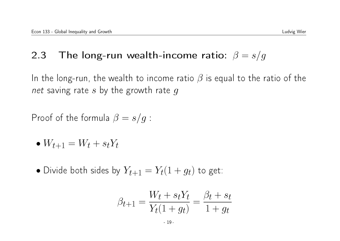### 2.3 The long-run wealth-income ratio:  $\beta = s/g$

In the long-run, the wealth to income ratio  $\beta$  is equal to the ratio of the net saving rate s by the growth rate q

Proof of the formula  $\beta = s/g$ :

$$
\bullet \; W_{t+1} = W_t + s_t Y_t
$$

• Divide both sides by  $Y_{t+1} = Y_t(1 + g_t)$  to get:

$$
\beta_{t+1} = \frac{W_t + s_t Y_t}{Y_t (1 + g_t)} = \frac{\beta_t + s_t}{1 + g_t}
$$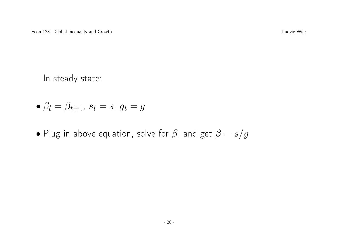In steady state:

- $\beta_t = \beta_{t+1}$ ,  $s_t = s$ ,  $g_t = g$
- Plug in above equation, solve for  $\beta$ , and get  $\beta = s/g$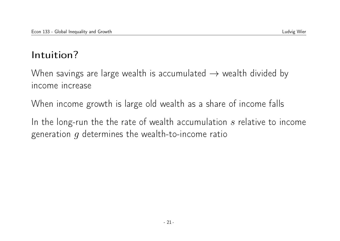## Intuition?

When savings are large wealth is accumulated  $\rightarrow$  wealth divided by income increase

When income growth is large old wealth as a share of income falls

In the long-run the the rate of wealth accumulation  $s$  relative to income generation  $q$  determines the wealth-to-income ratio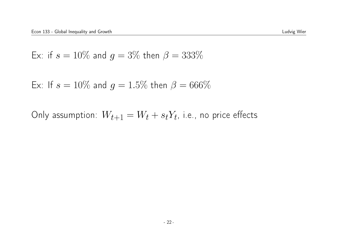Ex: if 
$$
s = 10\%
$$
 and  $g = 3\%$  then  $\beta = 333\%$ 

Ex: If 
$$
s = 10\%
$$
 and  $g = 1.5\%$  then  $\beta = 666\%$ 

Only assumption:  $W_{t+1} = W_t + s_t Y_t$ , i.e., no price effects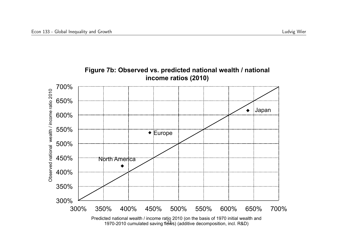

1970-2010 cumulated saving flows) (additive decomposition, incl. R&D)

**Figure 7b: Observed vs. predicted national wealth / national**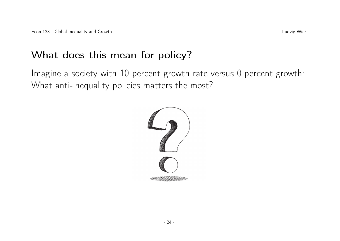### What does this mean for policy?

Imagine a society with 10 percent growth rate versus 0 percent growth: What anti-inequality policies matters the most?

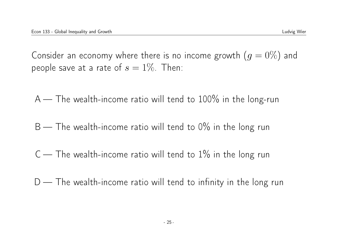Consider an economy where there is no income growth  $(g = 0\%)$  and people save at a rate of  $s = 1\%$ . Then:

 $A$  — The wealth-income ratio will tend to 100% in the long-run

 $B$  — The wealth-income ratio will tend to 0% in the long run

 $C$  — The wealth-income ratio will tend to  $1\%$  in the long run

 $D$  — The wealth-income ratio will tend to infinity in the long run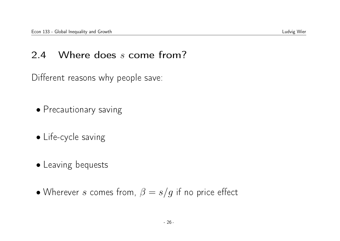### 2.4 Where does s come from?

Different reasons why people save:

- Precautionary saving
- Life-cycle saving
- Leaving bequests
- Wherever s comes from,  $\beta = s/g$  if no price effect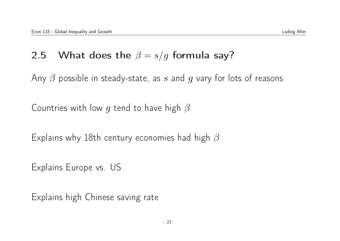### 2.5 What does the  $\beta = s/g$  formula say?

Any  $\beta$  possible in steady-state, as s and g vary for lots of reasons

Countries with low g tend to have high  $\beta$ 

Explains why 18th century economies had high  $\beta$ 

Explains Europe vs. US

Explains high Chinese saving rate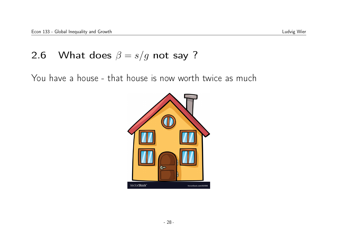### 2.6 What does  $\beta = s/g$  not say ?

You have a house - that house is now worth twice as much

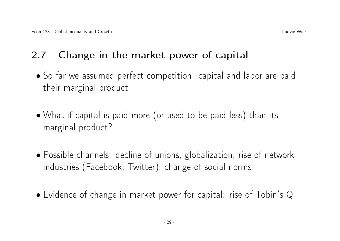### 2.7 Change in the market power of capital

- So far we assumed perfect competition: capital and labor are paid their marginal product
- What if capital is paid more (or used to be paid less) than its marginal product?
- Possible channels: decline of unions, globalization, rise of network industries (Facebook, Twitter), change of social norms
- Evidence of change in market power for capital: rise of Tobin's Q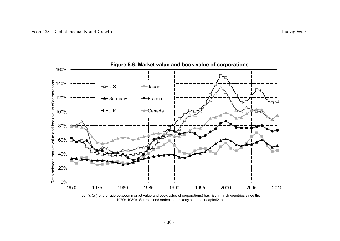

Tobin's Q (i.e. the ratio between market value and book value of corporations) has risen in rich countries since the 1970s-1980s. Sources and series: see piketty.pse.ens.fr/capital21c.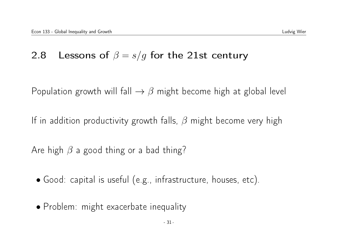### 2.8 Lessons of  $\beta = s/g$  for the 21st century

Population growth will fall  $\rightarrow \beta$  might become high at global level

If in addition productivity growth falls,  $\beta$  might become very high

Are high  $\beta$  a good thing or a bad thing?

- Good: capital is useful (e.g., infrastructure, houses, etc).
- Problem: might exacerbate inequality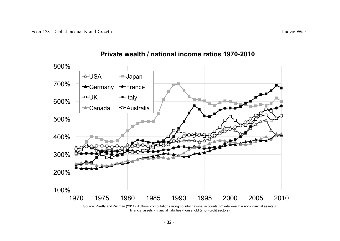

#### **Private wealth / national income ratios 1970-2010**

Source: Piketty and Zucman (2014). Authors' computations using country national accounts. Private wealth = non-financial assets + financial assets - financial liabilities (household & non-profit sectors)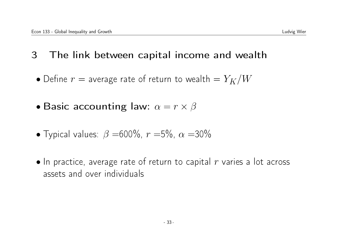- 3 The link between capital income and wealth
	- Define  $r =$  average rate of return to wealth  $= Y_K/W$
	- Basic accounting law:  $\alpha = r \times \beta$
	- Typical values:  $\beta = 600\%$ ,  $r = 5\%$ ,  $\alpha = 30\%$
	- $\bullet$  In practice, average rate of return to capital r varies a lot across assets and over individuals